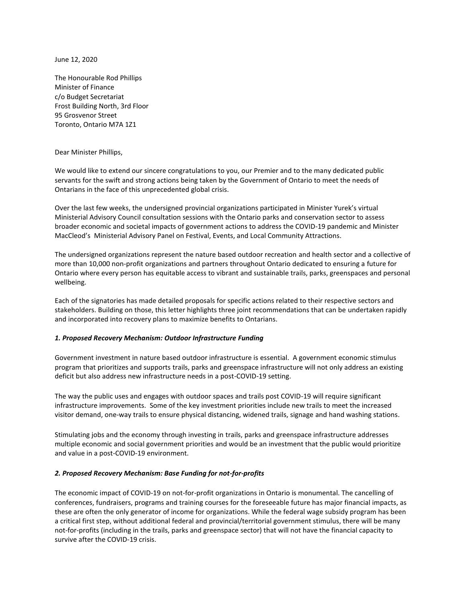June 12, 2020

The Honourable Rod Phillips Minister of Finance c/o Budget Secretariat Frost Building North, 3rd Floor 95 Grosvenor Street Toronto, Ontario M7A 1Z1

Dear Minister Phillips,

We would like to extend our sincere congratulations to you, our Premier and to the many dedicated public servants for the swift and strong actions being taken by the Government of Ontario to meet the needs of Ontarians in the face of this unprecedented global crisis.

Over the last few weeks, the undersigned provincial organizations participated in Minister Yurek's virtual Ministerial Advisory Council consultation sessions with the Ontario parks and conservation sector to assess broader economic and societal impacts of government actions to address the COVID-19 pandemic and Minister MacCleod's Ministerial Advisory Panel on Festival, Events, and Local Community Attractions.

The undersigned organizations represent the nature based outdoor recreation and health sector and a collective of more than 10,000 non-profit organizations and partners throughout Ontario dedicated to ensuring a future for Ontario where every person has equitable access to vibrant and sustainable trails, parks, greenspaces and personal wellbeing.

Each of the signatories has made detailed proposals for specific actions related to their respective sectors and stakeholders. Building on those, this letter highlights three joint recommendations that can be undertaken rapidly and incorporated into recovery plans to maximize benefits to Ontarians.

## *1. Proposed Recovery Mechanism: Outdoor Infrastructure Funding*

Government investment in nature based outdoor infrastructure is essential. A government economic stimulus program that prioritizes and supports trails, parks and greenspace infrastructure will not only address an existing deficit but also address new infrastructure needs in a post-COVID-19 setting.

The way the public uses and engages with outdoor spaces and trails post COVID-19 will require significant infrastructure improvements. Some of the key investment priorities include new trails to meet the increased visitor demand, one-way trails to ensure physical distancing, widened trails, signage and hand washing stations.

Stimulating jobs and the economy through investing in trails, parks and greenspace infrastructure addresses multiple economic and social government priorities and would be an investment that the public would prioritize and value in a post-COVID-19 environment.

## *2. Proposed Recovery Mechanism: Base Funding for not-for-profits*

The economic impact of COVID-19 on not-for-profit organizations in Ontario is monumental. The cancelling of conferences, fundraisers, programs and training courses for the foreseeable future has major financial impacts, as these are often the only generator of income for organizations. While the federal wage subsidy program has been a critical first step, without additional federal and provincial/territorial government stimulus, there will be many not-for-profits (including in the trails, parks and greenspace sector) that will not have the financial capacity to survive after the COVID-19 crisis.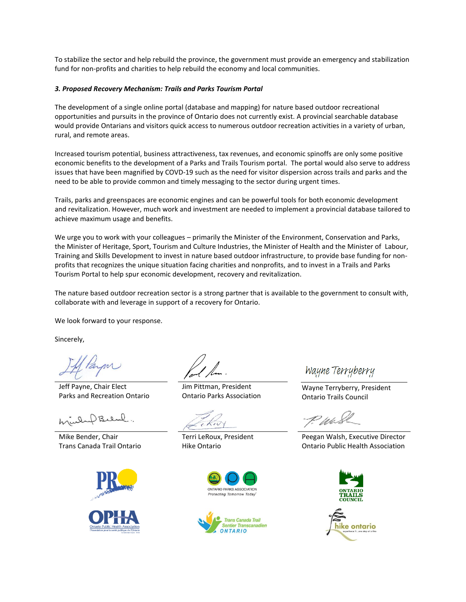To stabilize the sector and help rebuild the province, the government must provide an emergency and stabilization fund for non-profits and charities to help rebuild the economy and local communities.

## *3. Proposed Recovery Mechanism: Trails and Parks Tourism Portal*

The development of a single online portal (database and mapping) for nature based outdoor recreational opportunities and pursuits in the province of Ontario does not currently exist. A provincial searchable database would provide Ontarians and visitors quick access to numerous outdoor recreation activities in a variety of urban, rural, and remote areas.

Increased tourism potential, business attractiveness, tax revenues, and economic spinoffs are only some positive economic benefits to the development of a Parks and Trails Tourism portal. The portal would also serve to address issues that have been magnified by COVD-19 such as the need for visitor dispersion across trails and parks and the need to be able to provide common and timely messaging to the sector during urgent times.

Trails, parks and greenspaces are economic engines and can be powerful tools for both economic development and revitalization. However, much work and investment are needed to implement a provincial database tailored to achieve maximum usage and benefits.

We urge you to work with your colleagues – primarily the Minister of the Environment, Conservation and Parks, the Minister of Heritage, Sport, Tourism and Culture Industries, the Minister of Health and the Minister of Labour, Training and Skills Development to invest in nature based outdoor infrastructure, to provide base funding for nonprofits that recognizes the unique situation facing charities and nonprofits, and to invest in a Trails and Parks Tourism Portal to help spur economic development, recovery and revitalization.

The nature based outdoor recreation sector is a strong partner that is available to the government to consult with, collaborate with and leverage in support of a recovery for Ontario.

We look forward to your response.

Sincerely,

Jeff Payne, Chair Elect Parks and Recreation Ontario

Mike Bender, Chair Trans Canada Trail Ontario



Jim Pittman, President Ontario Parks Association

Terri LeRoux, President Hike Ontario





Wayne Terryberry

Wayne Terryberry, President Ontario Trails Council

T. Wi

Peegan Walsh, Executive Director Ontario Public Health Association